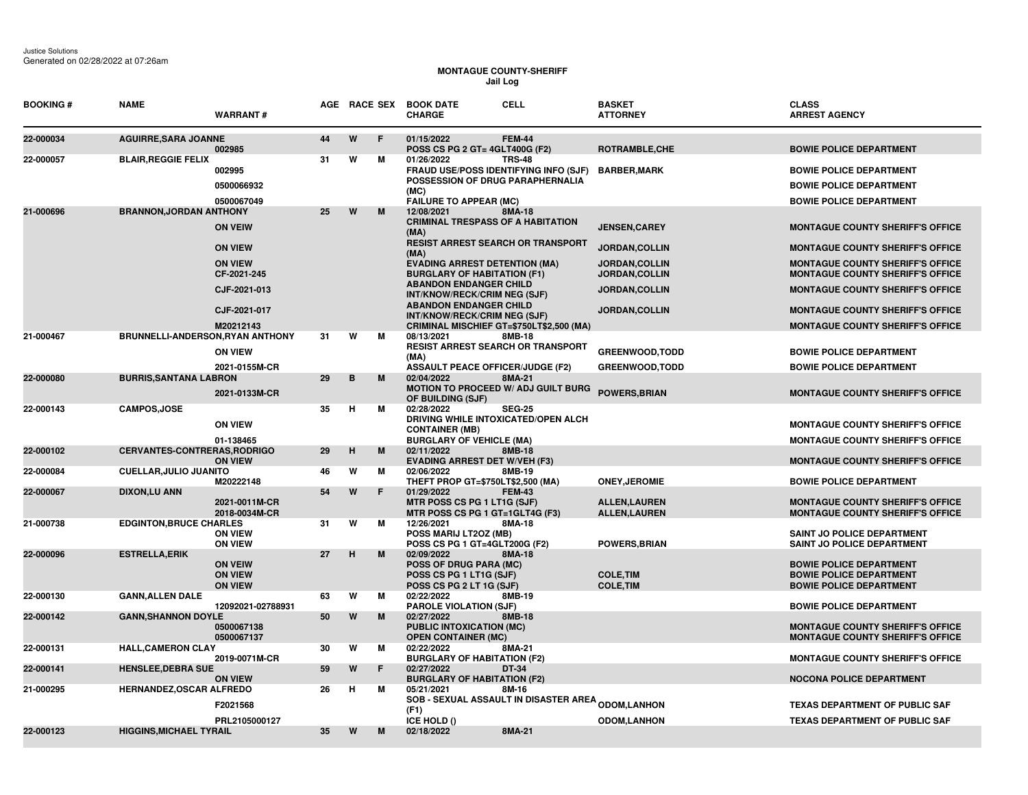## **MONTAGUE COUNTY-SHERIFF Jail Log**

| <b>BOOKING#</b> | <b>NAME</b>                         | <b>WARRANT#</b>                                                 |    |   |   | <b>CELL</b><br>AGE RACE SEX BOOK DATE<br><b>CHARGE</b>                                                                                                                                          |               | <b>BASKET</b><br><b>ATTORNEY</b>                                                  | <b>CLASS</b><br><b>ARREST AGENCY</b>                                                                                                                                     |
|-----------------|-------------------------------------|-----------------------------------------------------------------|----|---|---|-------------------------------------------------------------------------------------------------------------------------------------------------------------------------------------------------|---------------|-----------------------------------------------------------------------------------|--------------------------------------------------------------------------------------------------------------------------------------------------------------------------|
| 22-000034       | <b>AGUIRRE, SARA JOANNE</b>         | 002985                                                          | 44 | W | F | 01/15/2022<br>POSS CS PG 2 GT= 4GLT400G (F2)                                                                                                                                                    | <b>FEM-44</b> | ROTRAMBLE, CHE                                                                    | <b>BOWIE POLICE DEPARTMENT</b>                                                                                                                                           |
| 22-000057       | <b>BLAIR, REGGIE FELIX</b>          | 002995<br>0500066932<br>0500067049                              | 31 | W | м | 01/26/2022<br><b>TRS-48</b><br><b>FRAUD USE/POSS IDENTIFYING INFO (SJF)</b><br>POSSESSION OF DRUG PARAPHERNALIA<br>(MC)<br><b>FAILURE TO APPEAR (MC)</b>                                        |               | <b>BARBER,MARK</b>                                                                | <b>BOWIE POLICE DEPARTMENT</b><br><b>BOWIE POLICE DEPARTMENT</b><br><b>BOWIE POLICE DEPARTMENT</b>                                                                       |
| 21-000696       | <b>BRANNON, JORDAN ANTHONY</b>      | <b>ON VEIW</b>                                                  | 25 | W | M | 12/08/2021<br><b>CRIMINAL TRESPASS OF A HABITATION</b><br>(MA)                                                                                                                                  | 8MA-18        | <b>JENSEN, CAREY</b>                                                              | <b>MONTAGUE COUNTY SHERIFF'S OFFICE</b>                                                                                                                                  |
|                 |                                     | <b>ON VIEW</b><br><b>ON VIEW</b><br>CF-2021-245<br>CJF-2021-013 |    |   |   | <b>RESIST ARREST SEARCH OR TRANSPORT</b><br>(MA)<br><b>EVADING ARREST DETENTION (MA)</b><br><b>BURGLARY OF HABITATION (F1)</b><br><b>ABANDON ENDANGER CHILD</b><br>INT/KNOW/RECK/CRIM NEG (SJF) |               | JORDAN, COLLIN<br><b>JORDAN, COLLIN</b><br><b>JORDAN,COLLIN</b><br>JORDAN, COLLIN | <b>MONTAGUE COUNTY SHERIFF'S OFFICE</b><br><b>MONTAGUE COUNTY SHERIFF'S OFFICE</b><br><b>MONTAGUE COUNTY SHERIFF'S OFFICE</b><br><b>MONTAGUE COUNTY SHERIFF'S OFFICE</b> |
|                 |                                     | CJF-2021-017<br>M20212143                                       |    |   |   | <b>ABANDON ENDANGER CHILD</b><br>INT/KNOW/RECK/CRIM NEG (SJF)<br>CRIMINAL MISCHIEF GT=\$750LT\$2,500 (MA)                                                                                       |               | JORDAN, COLLIN                                                                    | <b>MONTAGUE COUNTY SHERIFF'S OFFICE</b><br><b>MONTAGUE COUNTY SHERIFF'S OFFICE</b>                                                                                       |
| 21-000467       | BRUNNELLI-ANDERSON, RYAN ANTHONY    | <b>ON VIEW</b>                                                  | 31 | W | м | 08/13/2021<br><b>RESIST ARREST SEARCH OR TRANSPORT</b><br>(MA)                                                                                                                                  | 8MB-18        | <b>GREENWOOD, TODD</b>                                                            | <b>BOWIE POLICE DEPARTMENT</b>                                                                                                                                           |
| 22-000080       | <b>BURRIS, SANTANA LABRON</b>       | 2021-0155M-CR<br>2021-0133M-CR                                  | 29 | B | M | <b>ASSAULT PEACE OFFICER/JUDGE (F2)</b><br>02/04/2022<br>8MA-21<br>MOTION TO PROCEED W/ ADJ GUILT BURG<br>OF BUILDING (SJF)                                                                     |               | <b>GREENWOOD,TODD</b><br><b>POWERS, BRIAN</b>                                     | <b>BOWIE POLICE DEPARTMENT</b><br><b>MONTAGUE COUNTY SHERIFF'S OFFICE</b>                                                                                                |
| 22-000143       | <b>CAMPOS, JOSE</b>                 | <b>ON VIEW</b><br>01-138465                                     | 35 | н | м | 02/28/2022<br>DRIVING WHILE INTOXICATED/OPEN ALCH<br><b>CONTAINER (MB)</b><br><b>BURGLARY OF VEHICLE (MA)</b>                                                                                   | <b>SEG-25</b> |                                                                                   | <b>MONTAGUE COUNTY SHERIFF'S OFFICE</b><br><b>MONTAGUE COUNTY SHERIFF'S OFFICE</b>                                                                                       |
| 22-000102       | <b>CERVANTES-CONTRERAS, RODRIGO</b> | <b>ON VIEW</b>                                                  | 29 | н | M | 02/11/2022<br><b>EVADING ARREST DET W/VEH (F3)</b>                                                                                                                                              | 8MB-18        |                                                                                   | <b>MONTAGUE COUNTY SHERIFF'S OFFICE</b>                                                                                                                                  |
| 22-000084       | <b>CUELLAR, JULIO JUANITO</b>       | M20222148                                                       | 46 | W | м | 02/06/2022<br>THEFT PROP GT=\$750LT\$2,500 (MA)                                                                                                                                                 | 8MB-19        | <b>ONEY, JEROMIE</b>                                                              | <b>BOWIE POLICE DEPARTMENT</b>                                                                                                                                           |
| 22-000067       | <b>DIXON,LU ANN</b>                 | 2021-0011M-CR<br>2018-0034M-CR                                  | 54 | W | F | 01/29/2022<br>MTR POSS CS PG 1 LT1G (SJF)<br>MTR POSS CS PG 1 GT=1GLT4G (F3)                                                                                                                    | <b>FEM-43</b> | <b>ALLEN,LAUREN</b><br><b>ALLEN, LAUREN</b>                                       | <b>MONTAGUE COUNTY SHERIFF'S OFFICE</b><br><b>MONTAGUE COUNTY SHERIFF'S OFFICE</b>                                                                                       |
| 21-000738       | <b>EDGINTON, BRUCE CHARLES</b>      | <b>ON VIEW</b><br><b>ON VIEW</b>                                | 31 | W | м | 12/26/2021<br>POSS MARIJ LT20Z (MB)<br>POSS CS PG 1 GT=4GLT200G (F2)                                                                                                                            | 8MA-18        | <b>POWERS, BRIAN</b>                                                              | SAINT JO POLICE DEPARTMENT<br>SAINT JO POLICE DEPARTMENT                                                                                                                 |
| 22-000096       | <b>ESTRELLA, ERIK</b>               | <b>ON VEIW</b><br><b>ON VIEW</b><br><b>ON VIEW</b>              | 27 | H | M | 02/09/2022<br>POSS OF DRUG PARA (MC)<br>POSS CS PG 1 LT1G (SJF)<br>POSS CS PG 2 LT 1G (SJF)                                                                                                     | 8MA-18        | <b>COLE, TIM</b><br><b>COLE, TIM</b>                                              | <b>BOWIE POLICE DEPARTMENT</b><br><b>BOWIE POLICE DEPARTMENT</b><br><b>BOWIE POLICE DEPARTMENT</b>                                                                       |
| 22-000130       | <b>GANN, ALLEN DALE</b>             | 12092021-02788931                                               | 63 | W | м | 02/22/2022<br><b>PAROLE VIOLATION (SJF)</b>                                                                                                                                                     | 8MB-19        |                                                                                   | <b>BOWIE POLICE DEPARTMENT</b>                                                                                                                                           |
| 22-000142       | <b>GANN, SHANNON DOYLE</b>          | 0500067138<br>0500067137                                        | 50 | W | M | 02/27/2022<br><b>PUBLIC INTOXICATION (MC)</b><br><b>OPEN CONTAINER (MC)</b>                                                                                                                     | 8MB-18        |                                                                                   | <b>MONTAGUE COUNTY SHERIFF'S OFFICE</b><br><b>MONTAGUE COUNTY SHERIFF'S OFFICE</b>                                                                                       |
| 22-000131       | <b>HALL, CAMERON CLAY</b>           | 2019-0071M-CR                                                   | 30 | W | м | 02/22/2022<br><b>BURGLARY OF HABITATION (F2)</b>                                                                                                                                                | 8MA-21        |                                                                                   | <b>MONTAGUE COUNTY SHERIFF'S OFFICE</b>                                                                                                                                  |
| 22-000141       | <b>HENSLEE, DEBRA SUE</b>           | <b>ON VIEW</b>                                                  | 59 | W | F | 02/27/2022<br>DT-34<br><b>BURGLARY OF HABITATION (F2)</b>                                                                                                                                       |               |                                                                                   | <b>NOCONA POLICE DEPARTMENT</b>                                                                                                                                          |
| 21-000295       | HERNANDEZ, OSCAR ALFREDO            | F2021568                                                        | 26 | H | м | 8M-16<br>05/21/2021<br><b>SOB - SEXUAL ASSAULT IN DISASTER AREA <sub>ODOM,</sub>LANHON</b><br>(F1)                                                                                              |               |                                                                                   | <b>TEXAS DEPARTMENT OF PUBLIC SAF</b>                                                                                                                                    |
| 22-000123       | <b>HIGGINS, MICHAEL TYRAIL</b>      | PRL2105000127                                                   | 35 | W | М | ICE HOLD ()<br>02/18/2022                                                                                                                                                                       | 8MA-21        | <b>ODOM,LANHON</b>                                                                | <b>TEXAS DEPARTMENT OF PUBLIC SAF</b>                                                                                                                                    |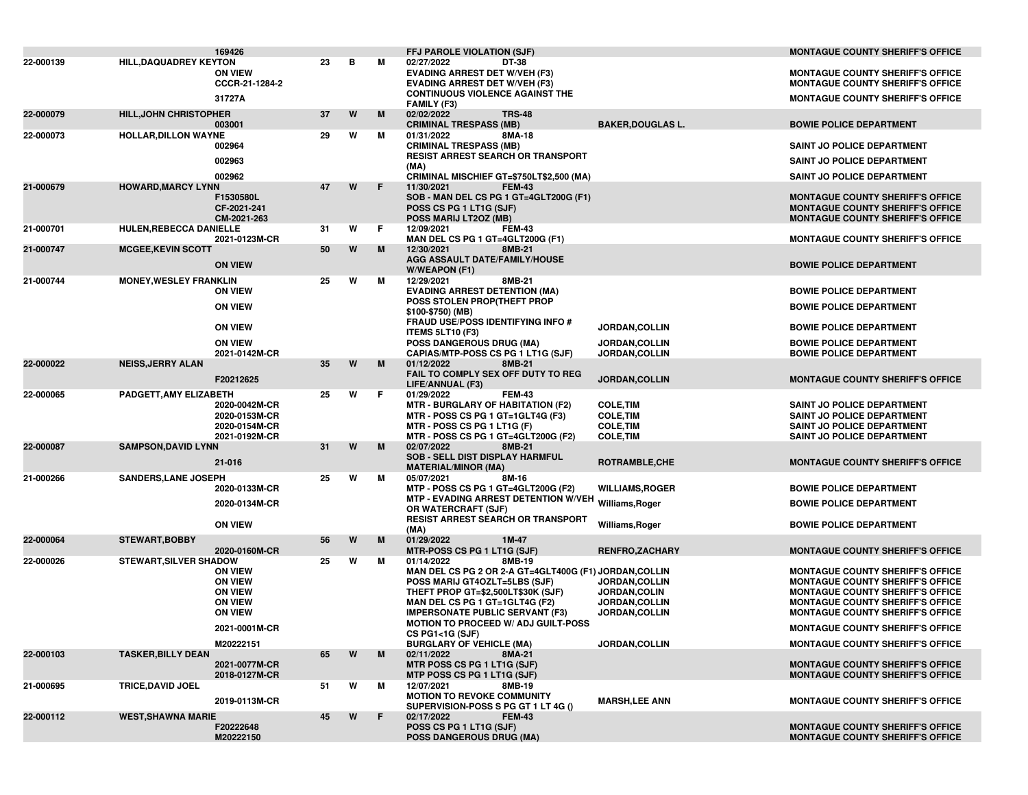|           |                               | 169426                                                                                 |    |   |    | <b>FFJ PAROLE VIOLATION (SJF)</b>                                                                                                                                                                         |                                                                              | <b>MONTAGUE COUNTY SHERIFF'S OFFICE</b>                                                                                                                                                                             |
|-----------|-------------------------------|----------------------------------------------------------------------------------------|----|---|----|-----------------------------------------------------------------------------------------------------------------------------------------------------------------------------------------------------------|------------------------------------------------------------------------------|---------------------------------------------------------------------------------------------------------------------------------------------------------------------------------------------------------------------|
| 22-000139 | <b>HILL, DAQUADREY KEYTON</b> | <b>ON VIEW</b><br>CCCR-21-1284-2<br>31727A                                             | 23 | в | м  | 02/27/2022<br>DT-38<br><b>EVADING ARREST DET W/VEH (F3)</b><br><b>EVADING ARREST DET W/VEH (F3)</b><br><b>CONTINUOUS VIOLENCE AGAINST THE</b>                                                             |                                                                              | MONTAGUE COUNTY SHERIFF'S OFFICE<br><b>MONTAGUE COUNTY SHERIFF'S OFFICE</b><br><b>MONTAGUE COUNTY SHERIFF'S OFFICE</b>                                                                                              |
| 22-000079 | <b>HILL, JOHN CHRISTOPHER</b> |                                                                                        | 37 | W | M  | <b>FAMILY (F3)</b><br>02/02/2022<br><b>TRS-48</b>                                                                                                                                                         |                                                                              |                                                                                                                                                                                                                     |
|           |                               | 003001                                                                                 |    |   |    | <b>CRIMINAL TRESPASS (MB)</b>                                                                                                                                                                             | <b>BAKER.DOUGLAS L.</b>                                                      | <b>BOWIE POLICE DEPARTMENT</b>                                                                                                                                                                                      |
| 22-000073 | <b>HOLLAR, DILLON WAYNE</b>   | 002964                                                                                 | 29 | W | м  | 01/31/2022<br>8MA-18<br><b>CRIMINAL TRESPASS (MB)</b>                                                                                                                                                     |                                                                              | SAINT JO POLICE DEPARTMENT                                                                                                                                                                                          |
|           |                               | 002963                                                                                 |    |   |    | <b>RESIST ARREST SEARCH OR TRANSPORT</b><br>(MA)                                                                                                                                                          |                                                                              | SAINT JO POLICE DEPARTMENT                                                                                                                                                                                          |
|           |                               | 002962                                                                                 |    |   |    | CRIMINAL MISCHIEF GT=\$750LT\$2,500 (MA)                                                                                                                                                                  |                                                                              | SAINT JO POLICE DEPARTMENT                                                                                                                                                                                          |
| 21-000679 | <b>HOWARD, MARCY LYNN</b>     | F1530580L<br>CF-2021-241<br>CM-2021-263                                                | 47 | W | F. | 11/30/2021<br><b>FEM-43</b><br>SOB - MAN DEL CS PG 1 GT=4GLT200G (F1)<br>POSS CS PG 1 LT1G (SJF)<br>POSS MARIJ LT2OZ (MB)                                                                                 |                                                                              | <b>MONTAGUE COUNTY SHERIFF'S OFFICE</b><br><b>MONTAGUE COUNTY SHERIFF'S OFFICE</b><br><b>MONTAGUE COUNTY SHERIFF'S OFFICE</b>                                                                                       |
| 21-000701 | HULEN, REBECCA DANIELLE       | 2021-0123M-CR                                                                          | 31 | W | F  | 12/09/2021<br><b>FEM-43</b><br>MAN DEL CS PG 1 GT=4GLT200G (F1)                                                                                                                                           |                                                                              | <b>MONTAGUE COUNTY SHERIFF'S OFFICE</b>                                                                                                                                                                             |
| 21-000747 | <b>MCGEE, KEVIN SCOTT</b>     | <b>ON VIEW</b>                                                                         | 50 | W | M  | 12/30/2021<br>8MB-21<br>AGG ASSAULT DATE/FAMILY/HOUSE<br>W/WEAPON (F1)                                                                                                                                    |                                                                              | <b>BOWIE POLICE DEPARTMENT</b>                                                                                                                                                                                      |
| 21-000744 | <b>MONEY, WESLEY FRANKLIN</b> | <b>ON VIEW</b>                                                                         | 25 | W | м  | 12/29/2021<br>8MB-21<br><b>EVADING ARREST DETENTION (MA)</b>                                                                                                                                              |                                                                              | <b>BOWIE POLICE DEPARTMENT</b>                                                                                                                                                                                      |
|           |                               | <b>ON VIEW</b>                                                                         |    |   |    | POSS STOLEN PROP(THEFT PROP                                                                                                                                                                               |                                                                              | <b>BOWIE POLICE DEPARTMENT</b>                                                                                                                                                                                      |
|           |                               | <b>ON VIEW</b>                                                                         |    |   |    | \$100-\$750) (MB)<br><b>FRAUD USE/POSS IDENTIFYING INFO #</b>                                                                                                                                             | JORDAN, COLLIN                                                               | <b>BOWIE POLICE DEPARTMENT</b>                                                                                                                                                                                      |
|           |                               | <b>ON VIEW</b>                                                                         |    |   |    | <b>ITEMS 5LT10 (F3)</b><br><b>POSS DANGEROUS DRUG (MA)</b>                                                                                                                                                | <b>JORDAN,COLLIN</b>                                                         | <b>BOWIE POLICE DEPARTMENT</b>                                                                                                                                                                                      |
|           |                               | 2021-0142M-CR                                                                          |    |   |    | CAPIAS/MTP-POSS CS PG 1 LT1G (SJF)                                                                                                                                                                        | JORDAN, COLLIN                                                               | <b>BOWIE POLICE DEPARTMENT</b>                                                                                                                                                                                      |
| 22-000022 | <b>NEISS, JERRY ALAN</b>      | F20212625                                                                              | 35 | W | M  | 01/12/2022<br>8MB-21<br>FAIL TO COMPLY SEX OFF DUTY TO REG<br>LIFE/ANNUAL (F3)                                                                                                                            | JORDAN, COLLIN                                                               | <b>MONTAGUE COUNTY SHERIFF'S OFFICE</b>                                                                                                                                                                             |
| 22-000065 | PADGETT.AMY ELIZABETH         | 2020-0042M-CR<br>2020-0153M-CR<br>2020-0154M-CR<br>2021-0192M-CR                       | 25 | W | F. | <b>FEM-43</b><br>01/29/2022<br><b>MTR - BURGLARY OF HABITATION (F2)</b><br>MTR - POSS CS PG 1 GT=1GLT4G (F3)<br>MTR - POSS CS PG 1 LT1G (F)<br>MTR - POSS CS PG 1 GT=4GLT200G (F2)                        | <b>COLE, TIM</b><br><b>COLE, TIM</b><br><b>COLE, TIM</b><br><b>COLE, TIM</b> | SAINT JO POLICE DEPARTMENT<br>SAINT JO POLICE DEPARTMENT<br>SAINT JO POLICE DEPARTMENT<br>SAINT JO POLICE DEPARTMENT                                                                                                |
| 22-000087 | <b>SAMPSON, DAVID LYNN</b>    | 21-016                                                                                 | 31 | W | M  | 02/07/2022<br>8MB-21<br><b>SOB - SELL DIST DISPLAY HARMFUL</b>                                                                                                                                            | ROTRAMBLE, CHE                                                               | <b>MONTAGUE COUNTY SHERIFF'S OFFICE</b>                                                                                                                                                                             |
| 21-000266 | <b>SANDERS, LANE JOSEPH</b>   |                                                                                        | 25 | W | М  | <b>MATERIAL/MINOR (MA)</b><br>05/07/2021<br>8M-16                                                                                                                                                         |                                                                              |                                                                                                                                                                                                                     |
|           |                               | 2020-0133M-CR                                                                          |    |   |    | MTP - POSS CS PG 1 GT=4GLT200G (F2)                                                                                                                                                                       | <b>WILLIAMS, ROGER</b>                                                       | <b>BOWIE POLICE DEPARTMENT</b>                                                                                                                                                                                      |
|           |                               | 2020-0134M-CR                                                                          |    |   |    | MTP - EVADING ARREST DETENTION W/VEH Williams, Roger<br>OR WATERCRAFT (SJF)                                                                                                                               |                                                                              | <b>BOWIE POLICE DEPARTMENT</b>                                                                                                                                                                                      |
|           |                               | <b>ON VIEW</b>                                                                         |    |   |    | <b>RESIST ARREST SEARCH OR TRANSPORT</b><br>(MA)                                                                                                                                                          | Williams, Roger                                                              | <b>BOWIE POLICE DEPARTMENT</b>                                                                                                                                                                                      |
| 22-000064 | <b>STEWART, BOBBY</b>         | 2020-0160M-CR                                                                          | 56 | W | M  | 01/29/2022<br>$1M-47$<br>MTR-POSS CS PG 1 LT1G (SJF)                                                                                                                                                      | <b>RENFRO,ZACHARY</b>                                                        | <b>MONTAGUE COUNTY SHERIFF'S OFFICE</b>                                                                                                                                                                             |
| 22-000026 | <b>STEWART, SILVER SHADOW</b> |                                                                                        | 25 | W | м  | 01/14/2022<br>8MB-19                                                                                                                                                                                      |                                                                              |                                                                                                                                                                                                                     |
|           |                               | <b>ON VIEW</b><br><b>ON VIEW</b><br><b>ON VIEW</b><br><b>ON VIEW</b><br><b>ON VIEW</b> |    |   |    | MAN DEL CS PG 2 OR 2-A GT=4GLT400G (F1) JORDAN, COLLIN<br>POSS MARIJ GT4OZLT=5LBS (SJF)<br>THEFT PROP GT=\$2,500LT\$30K (SJF)<br>MAN DEL CS PG 1 GT=1GLT4G (F2)<br><b>IMPERSONATE PUBLIC SERVANT (F3)</b> | JORDAN, COLLIN<br>JORDAN, COLIN<br>JORDAN, COLLIN<br><b>JORDAN,COLLIN</b>    | <b>MONTAGUE COUNTY SHERIFF'S OFFICE</b><br><b>MONTAGUE COUNTY SHERIFF'S OFFICE</b><br><b>MONTAGUE COUNTY SHERIFF'S OFFICE</b><br><b>MONTAGUE COUNTY SHERIFF'S OFFICE</b><br><b>MONTAGUE COUNTY SHERIFF'S OFFICE</b> |
|           |                               | 2021-0001M-CR                                                                          |    |   |    | <b>MOTION TO PROCEED W/ ADJ GUILT-POSS</b><br>CS PG1<1G (SJF)                                                                                                                                             |                                                                              | <b>MONTAGUE COUNTY SHERIFF'S OFFICE</b>                                                                                                                                                                             |
|           |                               | M20222151                                                                              |    |   |    | <b>BURGLARY OF VEHICLE (MA)</b>                                                                                                                                                                           | JORDAN, COLLIN                                                               | <b>MONTAGUE COUNTY SHERIFF'S OFFICE</b>                                                                                                                                                                             |
| 22-000103 | <b>TASKER, BILLY DEAN</b>     | 2021-0077M-CR<br>2018-0127M-CR                                                         | 65 | W | M  | 02/11/2022<br>8MA-21<br>MTR POSS CS PG 1 LT1G (SJF)<br>MTP POSS CS PG 1 LT1G (SJF)                                                                                                                        |                                                                              | <b>MONTAGUE COUNTY SHERIFF'S OFFICE</b><br><b>MONTAGUE COUNTY SHERIFF'S OFFICE</b>                                                                                                                                  |
| 21-000695 | TRICE, DAVID JOEL             | 2019-0113M-CR                                                                          | 51 | W | м  | 12/07/2021<br>8MB-19<br><b>MOTION TO REVOKE COMMUNITY</b><br>SUPERVISION-POSS S PG GT 1 LT 4G ()                                                                                                          | <b>MARSH, LEE ANN</b>                                                        | <b>MONTAGUE COUNTY SHERIFF'S OFFICE</b>                                                                                                                                                                             |
| 22-000112 | <b>WEST, SHAWNA MARIE</b>     | F20222648<br>M20222150                                                                 | 45 | W | F. | 02/17/2022<br><b>FEM-43</b><br>POSS CS PG 1 LT1G (SJF)<br><b>POSS DANGEROUS DRUG (MA)</b>                                                                                                                 |                                                                              | <b>MONTAGUE COUNTY SHERIFF'S OFFICE</b><br><b>MONTAGUE COUNTY SHERIFF'S OFFICE</b>                                                                                                                                  |
|           |                               |                                                                                        |    |   |    |                                                                                                                                                                                                           |                                                                              |                                                                                                                                                                                                                     |